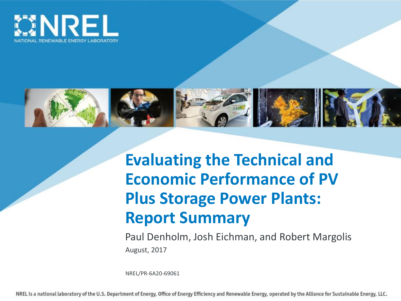



# **Evaluating the Technical and Economic Performance of PV Plus Storage Power Plants: Report Summary**

Paul Denholm, Josh Eichman, and Robert Margolis August, 2017

NREL/PR-6A20-69061

NREL is a national laboratory of the U.S. Department of Energy, Office of Energy Efficiency and Renewable Energy, operated by the Alliance for Sustainable Energy, LLC.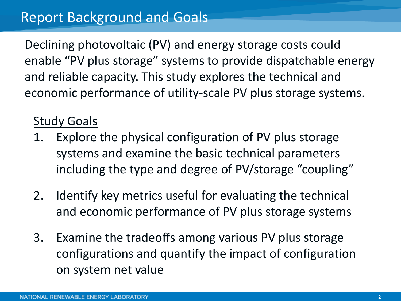Declining photovoltaic (PV) and energy storage costs could enable "PV plus storage" systems to provide dispatchable energy and reliable capacity. This study explores the technical and economic performance of utility-scale PV plus storage systems.

### Study Goals

- 1. Explore the physical configuration of PV plus storage systems and examine the basic technical parameters including the type and degree of PV/storage "coupling"
- 2. Identify key metrics useful for evaluating the technical and economic performance of PV plus storage systems
- 3. Examine the tradeoffs among various PV plus storage configurations and quantify the impact of configuration on system net value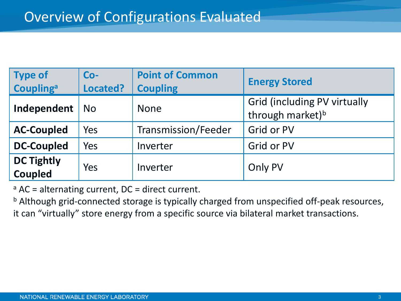| <b>Type of</b><br><b>Coupling</b> <sup>a</sup> | $Co-$<br>Located? | <b>Point of Common</b><br><b>Coupling</b>                                          | <b>Energy Stored</b> |
|------------------------------------------------|-------------------|------------------------------------------------------------------------------------|----------------------|
| Independent                                    | <b>No</b>         | <b>Grid (including PV virtually</b><br><b>None</b><br>through market) <sup>b</sup> |                      |
| <b>AC-Coupled</b>                              | Yes               | Transmission/Feeder                                                                | Grid or PV           |
| <b>DC-Coupled</b>                              | Yes               | Inverter                                                                           | Grid or PV           |
| <b>DC Tightly</b><br>Coupled                   | Yes               | Inverter                                                                           | Only PV              |

 $a$  AC = alternating current, DC = direct current.

b Although grid-connected storage is typically charged from unspecified off-peak resources, it can "virtually" store energy from a specific source via bilateral market transactions.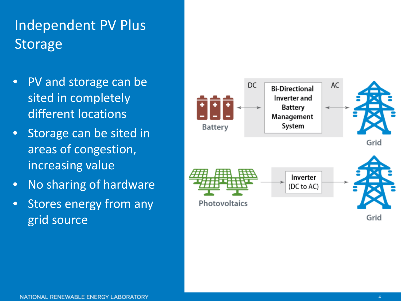# Independent PV Plus Storage

- PV and storage can be sited in completely different locations
- Storage can be sited in areas of congestion, increasing value
- No sharing of hardware
- Stores energy from any grid source



Grid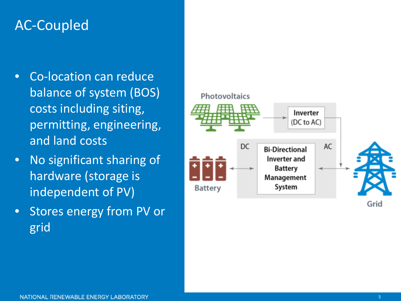### AC -Coupled

- Co -location can reduce balance of system (BOS) costs including siting, permitting, engineering, and land costs
- No significant sharing of hardware (storage is independent of PV)
- Stores energy from PV or grid

#### Photovoltaics

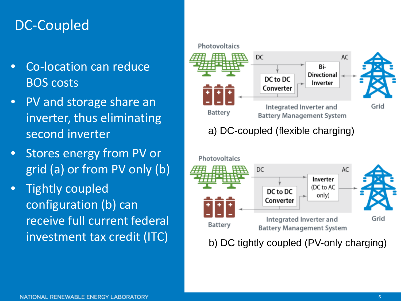### DC-Coupled

- Co-location can reduce BOS costs
- PV and storage share an inverter, thus eliminating second inverter
- Stores energy from PV or grid (a) or from PV only (b)
- Tightly coupled configuration (b) can receive full current federal investment tax credit (ITC)

#### Photovoltaics DC AC Bi-**Directional** DC to DC Inverter Converter Integrated Inverter and Grid **Battery Battery Management System** a) DC-coupled (flexible charging)



b) DC tightly coupled (PV-only charging)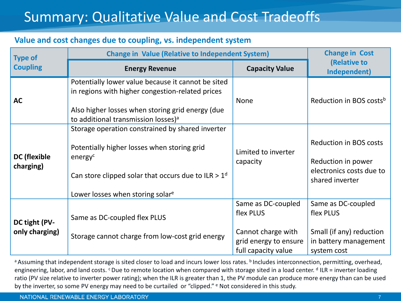## Summary: Qualitative Value and Cost Tradeoffs

#### **Value and cost changes due to coupling, vs. independent system**

| <b>Type of</b>                   | <b>Change in Value (Relative to Independent System)</b>                                                                                                                                                             | <b>Change in Cost</b>                                                                                 |                                                                                                     |
|----------------------------------|---------------------------------------------------------------------------------------------------------------------------------------------------------------------------------------------------------------------|-------------------------------------------------------------------------------------------------------|-----------------------------------------------------------------------------------------------------|
| <b>Coupling</b>                  | <b>Energy Revenue</b>                                                                                                                                                                                               | <b>Capacity Value</b>                                                                                 | (Relative to<br>Independent)                                                                        |
| <b>AC</b>                        | Potentially lower value because it cannot be sited<br>in regions with higher congestion-related prices<br>Also higher losses when storing grid energy (due<br>to additional transmission losses) <sup>a</sup>       | <b>None</b>                                                                                           | Reduction in BOS costs <sup>b</sup>                                                                 |
| <b>DC</b> (flexible<br>charging) | Storage operation constrained by shared inverter<br>Potentially higher losses when storing grid<br>energy <sup>c</sup><br>Can store clipped solar that occurs due to ILR $> 1d$<br>Lower losses when storing solare | Limited to inverter<br>capacity                                                                       | <b>Reduction in BOS costs</b><br>Reduction in power<br>electronics costs due to<br>shared inverter  |
| DC tight (PV-<br>only charging)  | Same as DC-coupled flex PLUS<br>Storage cannot charge from low-cost grid energy                                                                                                                                     | Same as DC-coupled<br>flex PLUS<br>Cannot charge with<br>grid energy to ensure<br>full capacity value | Same as DC-coupled<br>flex PLUS<br>Small (if any) reduction<br>in battery management<br>system cost |

a Assuming that independent storage is sited closer to load and incurs lower loss rates. **b** Includes interconnection, permitting, overhead, engineering, labor, and land costs. <sup>c</sup> Due to remote location when compared with storage sited in a load center. <sup>d</sup> ILR = inverter loading ratio (PV size relative to inverter power rating); when the ILR is greater than 1, the PV module can produce more energy than can be used by the inverter, so some PV energy may need to be curtailed or "clipped." <sup>e</sup> Not considered in this study.

#### NATIONAL RENEWABLE ENERGY LABORATORY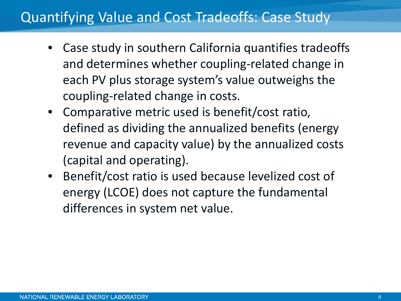### Quantifying Value and Cost Tradeoffs: Case Study

- Case study in southern California quantifies tradeoffs and determines whether coupling-related change in each PV plus storage system's value outweighs the coupling-related change in costs.
- Comparative metric used is benefit/cost ratio, defined as dividing the annualized benefits (energy revenue and capacity value) by the annualized costs (capital and operating).
- Benefit/cost ratio is used because levelized cost of energy (LCOE) does not capture the fundamental differences in system net value.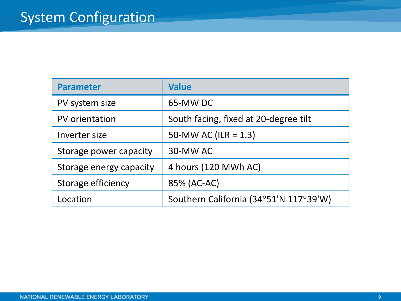| <b>Parameter</b>        | <b>Value</b>                           |  |
|-------------------------|----------------------------------------|--|
| PV system size          | 65-MW DC                               |  |
| PV orientation          | South facing, fixed at 20-degree tilt  |  |
| Inverter size           | 50-MW AC (ILR = $1.3$ )                |  |
| Storage power capacity  | 30-MW AC                               |  |
| Storage energy capacity | 4 hours (120 MWh AC)                   |  |
| Storage efficiency      | 85% (AC-AC)                            |  |
| Location                | Southern California (34°51'N 117°39'W) |  |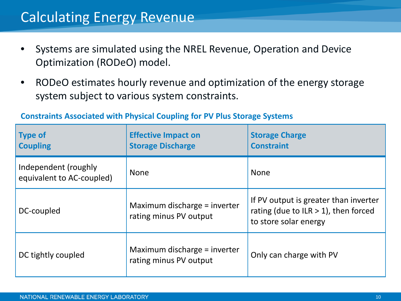### Calculating Energy Revenue

- Systems are simulated using the NREL Revenue, Operation and Device Optimization (RODeO) model.
- RODeO estimates hourly revenue and optimization of the energy storage system subject to various system constraints.

| <b>Type of</b><br><b>Coupling</b>                 | <b>Effective Impact on</b><br><b>Storage Discharge</b> | <b>Storage Charge</b><br><b>Constraint</b>                                                               |
|---------------------------------------------------|--------------------------------------------------------|----------------------------------------------------------------------------------------------------------|
| Independent (roughly<br>equivalent to AC-coupled) | <b>None</b>                                            | <b>None</b>                                                                                              |
| DC-coupled                                        | Maximum discharge = inverter<br>rating minus PV output | If PV output is greater than inverter<br>rating (due to ILR $>$ 1), then forced<br>to store solar energy |
| DC tightly coupled                                | Maximum discharge = inverter<br>rating minus PV output | Only can charge with PV                                                                                  |

### **Constraints Associated with Physical Coupling for PV Plus Storage Systems**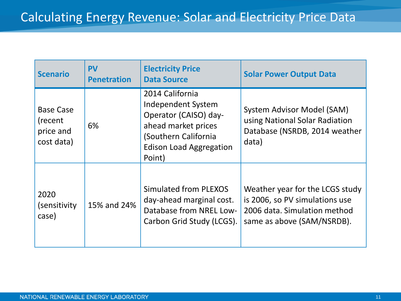| <b>Scenario</b>                                         | <b>PV</b><br><b>Penetration</b> | <b>Electricity Price</b><br><b>Data Source</b>                                                                                                            | <b>Solar Power Output Data</b>                                                                                                  |
|---------------------------------------------------------|---------------------------------|-----------------------------------------------------------------------------------------------------------------------------------------------------------|---------------------------------------------------------------------------------------------------------------------------------|
| <b>Base Case</b><br>(recent)<br>price and<br>cost data) | 6%                              | 2014 California<br>Independent System<br>Operator (CAISO) day-<br>ahead market prices<br>(Southern California<br><b>Edison Load Aggregation</b><br>Point) | System Advisor Model (SAM)<br>using National Solar Radiation<br>Database (NSRDB, 2014 weather<br>data)                          |
| 2020<br>(sensitivity)<br>case)                          | 15% and 24%                     | Simulated from PLEXOS<br>day-ahead marginal cost.<br>Database from NREL Low-<br>Carbon Grid Study (LCGS).                                                 | Weather year for the LCGS study<br>is 2006, so PV simulations use<br>2006 data. Simulation method<br>same as above (SAM/NSRDB). |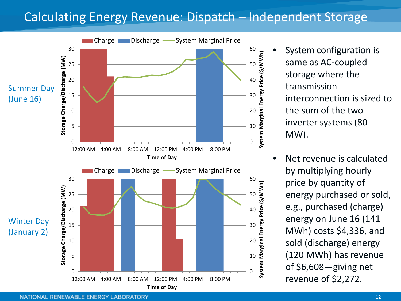### Calculating Energy Revenue: Dispatch – Independent Storage



- System configuration is same as AC-coupled storage where the transmission interconnection is sized to the sum of the two inverter systems (80 MW).
- Net revenue is calculated by multiplying hourly price by quantity of energy purchased or sold, e.g., purchased (charge) energy on June 16 (141 MWh) costs \$4,336, and sold (discharge) energy (120 MWh) has revenue of \$6,608—giving net revenue of \$2,272.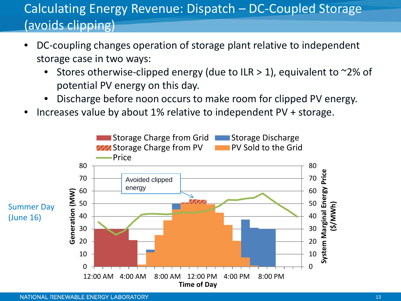### Calculating Energy Revenue: Dispatch – DC-Coupled Storage (avoids clipping)

- DC-coupling changes operation of storage plant relative to independent storage case in two ways:
	- Stores otherwise-clipped energy (due to ILR  $>$  1), equivalent to  $\sim$ 2% of potential PV energy on this day.
	- Discharge before noon occurs to make room for clipped PV energy.
- Increases value by about 1% relative to independent PV + storage.

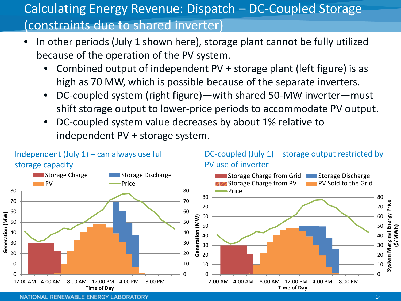### Calculating Energy Revenue: Dispatch – DC-Coupled Storage (constraints due to shared inverter)

- In other periods (July 1 shown here), storage plant cannot be fully utilized because of the operation of the PV system.
	- Combined output of independent PV + storage plant (left figure) is as high as 70 MW, which is possible because of the separate inverters.
	- DC-coupled system (right figure)—with shared 50-MW inverter—must shift storage output to lower-price periods to accommodate PV output.
	- DC-coupled system value decreases by about 1% relative to independent PV + storage system.

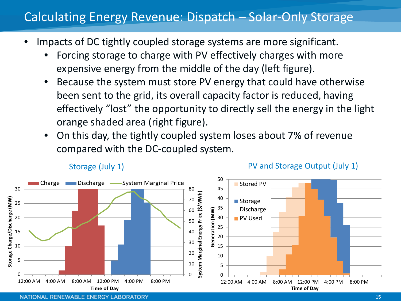### Calculating Energy Revenue: Dispatch – Solar-Only Storage

- Impacts of DC tightly coupled storage systems are more significant.
	- Forcing storage to charge with PV effectively charges with more expensive energy from the middle of the day (left figure).
	- Because the system must store PV energy that could have otherwise been sent to the grid, its overall capacity factor is reduced, having effectively "lost" the opportunity to directly sell the energy in the light orange shaded area (right figure).
	- On this day, the tightly coupled system loses about 7% of revenue compared with the DC-coupled system.



#### Storage (July 1) The PV and Storage Output (July 1)

NATIONAL RENEWABLE ENERGY LABORATORY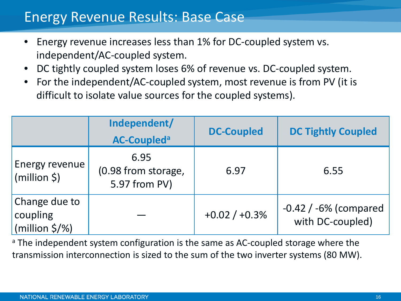### Energy Revenue Results: Base Case

- Energy revenue increases less than 1% for DC-coupled system vs. independent/AC-coupled system.
- DC tightly coupled system loses 6% of revenue vs. DC-coupled system.
- For the independent/AC-coupled system, most revenue is from PV (it is difficult to isolate value sources for the coupled systems).

|                                                         | Independent/<br><b>AC-Coupleda</b>           | <b>DC-Coupled</b> | <b>DC Tightly Coupled</b>                     |
|---------------------------------------------------------|----------------------------------------------|-------------------|-----------------------------------------------|
| <b>Energy revenue</b><br>(million \$)                   | 6.95<br>(0.98 from storage,<br>5.97 from PV) | 6.97              | 6.55                                          |
| Change due to<br>coupling<br>(million $\frac{2}{3}$ /%) |                                              | $+0.02 / +0.3%$   | $-0.42$ / $-6%$ (compared<br>with DC-coupled) |

<sup>a</sup> The independent system configuration is the same as AC-coupled storage where the transmission interconnection is sized to the sum of the two inverter systems (80 MW).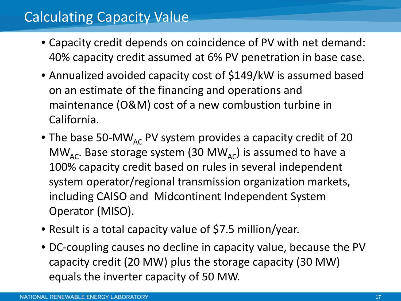### Calculating Capacity Value

- Capacity credit depends on coincidence of PV with net demand: 40% capacity credit assumed at 6% PV penetration in base case.
- Annualized avoided capacity cost of \$149/kW is assumed based on an estimate of the financing and operations and maintenance (O&M) cost of a new combustion turbine in California.
- The base 50-MW<sub>AC</sub> PV system provides a capacity credit of 20 MW<sub>AC</sub>. Base storage system (30 MW<sub>AC</sub>) is assumed to have a 100% capacity credit based on rules in several independent system operator/regional transmission organization markets, including CAISO and Midcontinent Independent System Operator (MISO).
- Result is a total capacity value of \$7.5 million/year.
- DC-coupling causes no decline in capacity value, because the PV capacity credit (20 MW) plus the storage capacity (30 MW) equals the inverter capacity of 50 MW.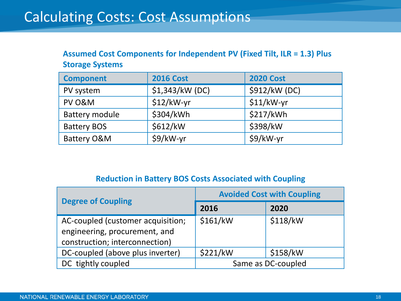### Calculating Costs: Cost Assumptions

#### **Assumed Cost Components for Independent PV (Fixed Tilt, ILR = 1.3) Plus Storage Systems**

| <b>Component</b>   | <b>2016 Cost</b> | <b>2020 Cost</b> |
|--------------------|------------------|------------------|
| PV system          | \$1,343/kW (DC)  | \$912/kW (DC)    |
| PV O&M             | $$12/kW-yr$      | $$11/kW-yr$      |
| Battery module     | \$304/kWh        | \$217/kWh        |
| <b>Battery BOS</b> | \$612/kW         | \$398/kW         |
| Battery O&M        | \$9/kW-yr        | \$9/kW-yr        |

#### **Reduction in Battery BOS Costs Associated with Coupling**

| <b>Degree of Coupling</b>         | <b>Avoided Cost with Coupling</b> |          |  |
|-----------------------------------|-----------------------------------|----------|--|
|                                   | 2016                              | 2020     |  |
| AC-coupled (customer acquisition; | \$161/kW                          | \$118/kW |  |
| engineering, procurement, and     |                                   |          |  |
| construction; interconnection)    |                                   |          |  |
| DC-coupled (above plus inverter)  | \$221/kW                          | \$158/kW |  |
| DC tightly coupled                | Same as DC-coupled                |          |  |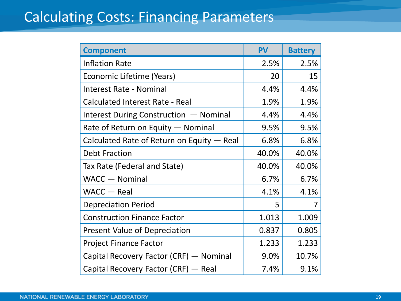### Calculating Costs: Financing Parameters

| <b>Component</b>                           | <b>PV</b> | <b>Battery</b> |
|--------------------------------------------|-----------|----------------|
| <b>Inflation Rate</b>                      | 2.5%      | 2.5%           |
| Economic Lifetime (Years)                  | 20        | 15             |
| <b>Interest Rate - Nominal</b>             | 4.4%      | 4.4%           |
| <b>Calculated Interest Rate - Real</b>     | 1.9%      | 1.9%           |
| Interest During Construction - Nominal     | 4.4%      | 4.4%           |
| Rate of Return on Equity - Nominal         | 9.5%      | 9.5%           |
| Calculated Rate of Return on Equity - Real | 6.8%      | 6.8%           |
| <b>Debt Fraction</b>                       | 40.0%     | 40.0%          |
| Tax Rate (Federal and State)               | 40.0%     | 40.0%          |
| <b>WACC</b> - Nominal                      | 6.7%      | 6.7%           |
| WACC - Real                                | 4.1%      | 4.1%           |
| <b>Depreciation Period</b>                 | 5         | 7              |
| <b>Construction Finance Factor</b>         | 1.013     | 1.009          |
| <b>Present Value of Depreciation</b>       | 0.837     | 0.805          |
| <b>Project Finance Factor</b>              | 1.233     | 1.233          |
| Capital Recovery Factor (CRF) — Nominal    | 9.0%      | 10.7%          |
| Capital Recovery Factor (CRF) - Real       | 7.4%      | 9.1%           |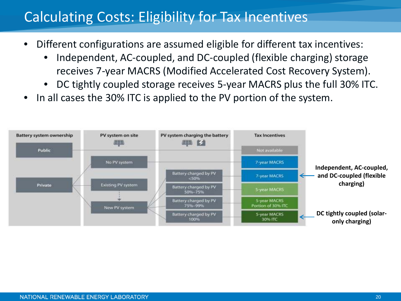### Calculating Costs: Eligibility for Tax Incentives

- Different configurations are assumed eligible for different tax incentives:
	- Independent, AC-coupled, and DC-coupled (flexible charging) storage receives 7-year MACRS (Modified Accelerated Cost Recovery System).
	- DC tightly coupled storage receives 5-year MACRS plus the full 30% ITC.
- In all cases the 30% ITC is applied to the PV portion of the system.

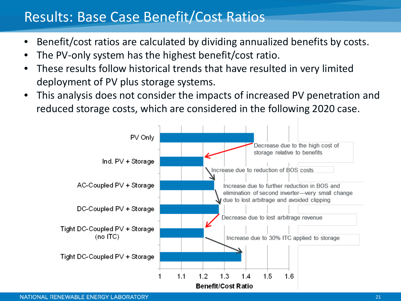### Results: Base Case Benefit/Cost Ratios

- Benefit/cost ratios are calculated by dividing annualized benefits by costs.
- The PV-only system has the highest benefit/cost ratio.
- These results follow historical trends that have resulted in very limited deployment of PV plus storage systems.
- This analysis does not consider the impacts of increased PV penetration and reduced storage costs, which are considered in the following 2020 case.

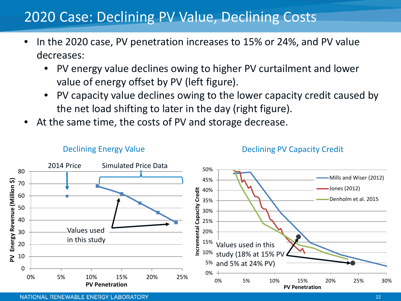### 2020 Case: Declining PV Value, Declining Costs

- In the 2020 case, PV penetration increases to 15% or 24%, and PV value decreases:
	- PV energy value declines owing to higher PV curtailment and lower value of energy offset by PV (left figure).
	- PV capacity value declines owing to the lower capacity credit caused by the net load shifting to later in the day (right figure).
- At the same time, the costs of PV and storage decrease.



#### Declining Energy Value

#### Declining PV Capacity Credit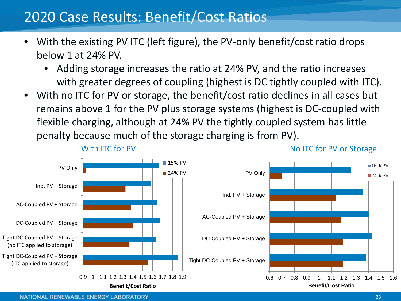### 2020 Case Results: Benefit/Cost Ratios

- With the existing PV ITC (left figure), the PV-only benefit/cost ratio drops below 1 at 24% PV.
	- Adding storage increases the ratio at 24% PV, and the ratio increases with greater degrees of coupling (highest is DC tightly coupled with ITC).
- With no ITC for PV or storage, the benefit/cost ratio declines in all cases but remains above 1 for the PV plus storage systems (highest is DC-coupled with flexible charging, although at 24% PV the tightly coupled system has little penalty because much of the storage charging is from PV).



NATIONAL RENEWABLE ENERGY LABORATORY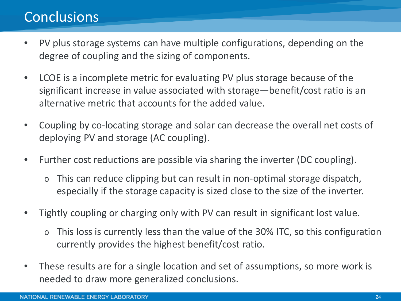### Conclusions

- PV plus storage systems can have multiple configurations, depending on the degree of coupling and the sizing of components.
- LCOE is a incomplete metric for evaluating PV plus storage because of the significant increase in value associated with storage—benefit/cost ratio is an alternative metric that accounts for the added value.
- Coupling by co-locating storage and solar can decrease the overall net costs of deploying PV and storage (AC coupling).
- Further cost reductions are possible via sharing the inverter (DC coupling).
	- o This can reduce clipping but can result in non-optimal storage dispatch, especially if the storage capacity is sized close to the size of the inverter.
- Tightly coupling or charging only with PV can result in significant lost value.
	- o This loss is currently less than the value of the 30% ITC, so this configuration currently provides the highest benefit/cost ratio.
- These results are for a single location and set of assumptions, so more work is needed to draw more generalized conclusions.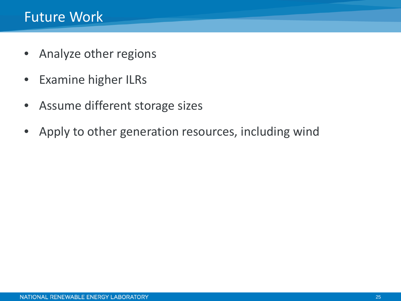- Analyze other regions
- Examine higher ILRs
- Assume different storage sizes
- Apply to other generation resources, including wind